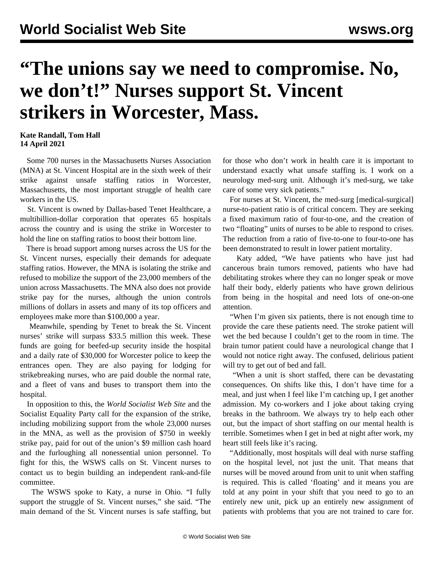## **"The unions say we need to compromise. No, we don't!" Nurses support St. Vincent strikers in Worcester, Mass.**

## **Kate Randall, Tom Hall 14 April 2021**

 Some 700 nurses in the Massachusetts Nurses Association (MNA) at St. Vincent Hospital are in the sixth week of their strike against unsafe staffing ratios in Worcester, Massachusetts, the most important struggle of health care workers in the US.

 St. Vincent is owned by Dallas-based Tenet Healthcare, a multibillion-dollar corporation that operates 65 hospitals across the country and is using the strike in Worcester to hold the line on staffing ratios to boost their bottom line.

 There is broad support among nurses across the US for the St. Vincent nurses, especially their demands for adequate staffing ratios. However, the MNA is isolating the strike and refused to mobilize the support of the 23,000 members of the union across Massachusetts. The MNA also does not provide strike pay for the nurses, although the union controls millions of dollars in assets and many of its top officers and employees make more than \$100,000 a year.

 Meanwhile, spending by Tenet to break the St. Vincent nurses' strike will surpass \$33.5 million this week. These funds are going for beefed-up security inside the hospital and a daily rate of \$30,000 for Worcester police to keep the entrances open. They are also paying for lodging for strikebreaking nurses, who are paid double the normal rate, and a fleet of vans and buses to transport them into the hospital.

 In opposition to this, the *World Socialist Web Site* and the Socialist Equality Party call for the expansion of the strike, including mobilizing support from the whole 23,000 nurses in the MNA, as well as the provision of \$750 in weekly strike pay, paid for out of the union's \$9 million cash hoard and the furloughing all nonessential union personnel. To fight for this, the WSWS calls on St. Vincent nurses to [contact us](/en/special/pages/contact.html) to begin building an independent rank-and-file committee.

 The WSWS spoke to Katy, a nurse in Ohio. "I fully support the struggle of St. Vincent nurses," she said. "The main demand of the St. Vincent nurses is safe staffing, but for those who don't work in health care it is important to understand exactly what unsafe staffing is. I work on a neurology med-surg unit. Although it's med-surg, we take care of some very sick patients."

 For nurses at St. Vincent, the med-surg [medical-surgical] nurse-to-patient ratio is of critical concern. They are seeking a fixed maximum ratio of four-to-one, and the creation of two "floating" units of nurses to be able to respond to crises. The reduction from a ratio of five-to-one to four-to-one has been demonstrated to result in lower patient mortality.

 Katy added, "We have patients who have just had cancerous brain tumors removed, patients who have had debilitating strokes where they can no longer speak or move half their body, elderly patients who have grown delirious from being in the hospital and need lots of one-on-one attention.

 "When I'm given six patients, there is not enough time to provide the care these patients need. The stroke patient will wet the bed because I couldn't get to the room in time. The brain tumor patient could have a neurological change that I would not notice right away. The confused, delirious patient will try to get out of bed and fall.

 "When a unit is short staffed, there can be devastating consequences. On shifts like this, I don't have time for a meal, and just when I feel like I'm catching up, I get another admission. My co-workers and I joke about taking crying breaks in the bathroom. We always try to help each other out, but the impact of short staffing on our mental health is terrible. Sometimes when I get in bed at night after work, my heart still feels like it's racing.

 "Additionally, most hospitals will deal with nurse staffing on the hospital level, not just the unit. That means that nurses will be moved around from unit to unit when staffing is required. This is called 'floating' and it means you are told at any point in your shift that you need to go to an entirely new unit, pick up an entirely new assignment of patients with problems that you are not trained to care for.